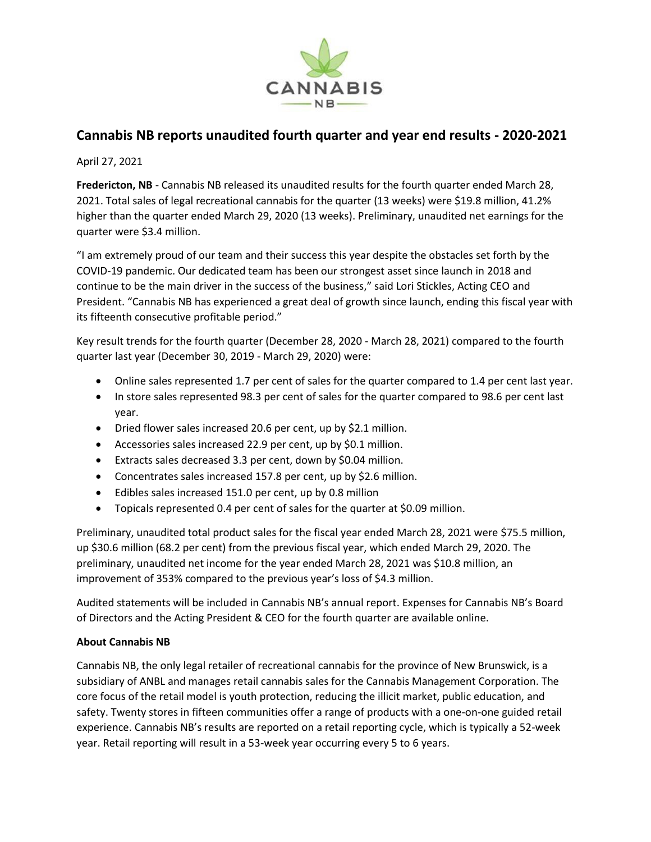

## **Cannabis NB reports unaudited fourth quarter and year end results - 2020-2021**

April 27, 2021

**Fredericton, NB** - Cannabis NB released its unaudited results for the fourth quarter ended March 28, 2021. Total sales of legal recreational cannabis for the quarter (13 weeks) were \$19.8 million, 41.2% higher than the quarter ended March 29, 2020 (13 weeks). Preliminary, unaudited net earnings for the quarter were \$3.4 million.

"I am extremely proud of our team and their success this year despite the obstacles set forth by the COVID-19 pandemic. Our dedicated team has been our strongest asset since launch in 2018 and continue to be the main driver in the success of the business," said Lori Stickles, Acting CEO and President. "Cannabis NB has experienced a great deal of growth since launch, ending this fiscal year with its fifteenth consecutive profitable period."

Key result trends for the fourth quarter (December 28, 2020 - March 28, 2021) compared to the fourth quarter last year (December 30, 2019 - March 29, 2020) were:

- Online sales represented 1.7 per cent of sales for the quarter compared to 1.4 per cent last year.
- In store sales represented 98.3 per cent of sales for the quarter compared to 98.6 per cent last year.
- Dried flower sales increased 20.6 per cent, up by \$2.1 million.
- Accessories sales increased 22.9 per cent, up by \$0.1 million.
- Extracts sales decreased 3.3 per cent, down by \$0.04 million.
- Concentrates sales increased 157.8 per cent, up by \$2.6 million.
- Edibles sales increased 151.0 per cent, up by 0.8 million
- Topicals represented 0.4 per cent of sales for the quarter at \$0.09 million.

Preliminary, unaudited total product sales for the fiscal year ended March 28, 2021 were \$75.5 million, up \$30.6 million (68.2 per cent) from the previous fiscal year, which ended March 29, 2020. The preliminary, unaudited net income for the year ended March 28, 2021 was \$10.8 million, an improvement of 353% compared to the previous year's loss of \$4.3 million.

Audited statements will be included in Cannabis NB's annual report. Expenses for Cannabis NB's Board of Directors and the Acting President & CEO for the fourth quarter are available online.

## **About Cannabis NB**

Cannabis NB, the only legal retailer of recreational cannabis for the province of New Brunswick, is a subsidiary of ANBL and manages retail cannabis sales for the Cannabis Management Corporation. The core focus of the retail model is youth protection, reducing the illicit market, public education, and safety. Twenty stores in fifteen communities offer a range of products with a one-on-one guided retail experience. Cannabis NB's results are reported on a retail reporting cycle, which is typically a 52-week year. Retail reporting will result in a 53-week year occurring every 5 to 6 years.